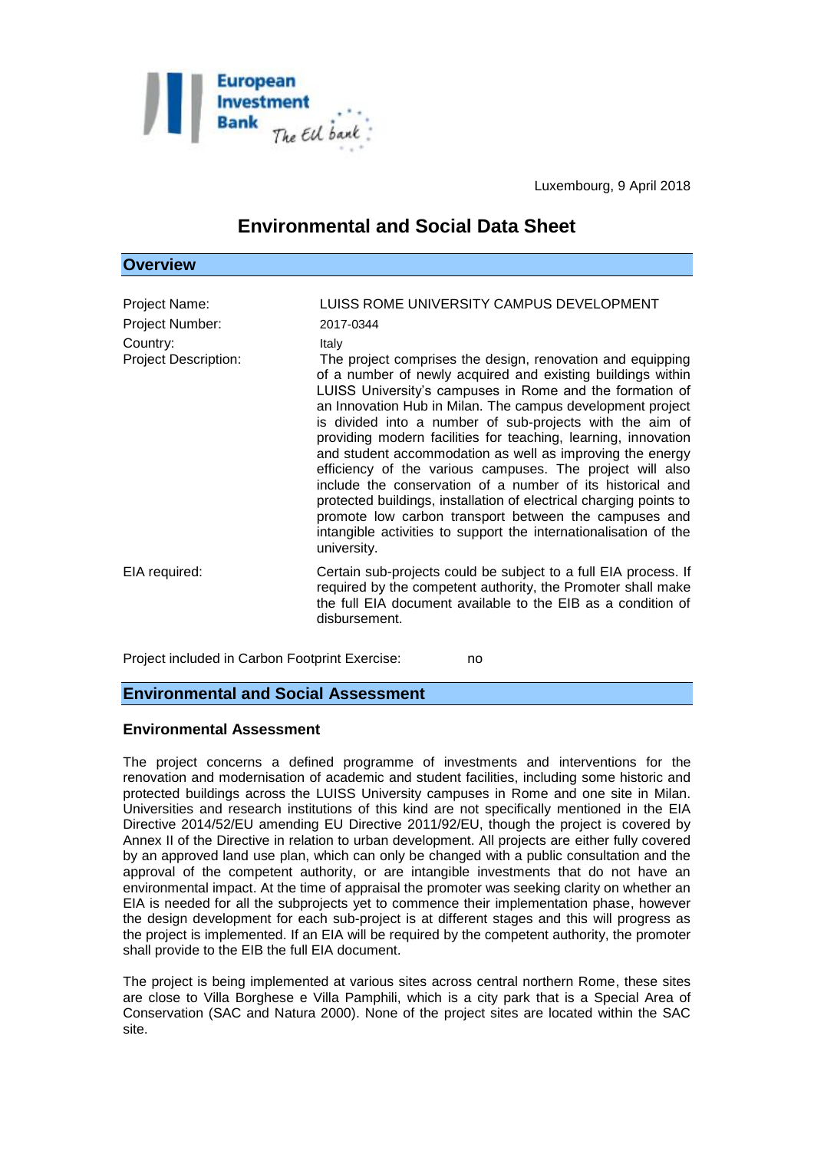

Luxembourg, 9 April 2018

# **Environmental and Social Data Sheet**

| Overview                                                                    |                                                                                                                                                                                                                                                                                                                                                                                                                                                                                                                                                                                                                                                                                                                                                                                                                                                               |
|-----------------------------------------------------------------------------|---------------------------------------------------------------------------------------------------------------------------------------------------------------------------------------------------------------------------------------------------------------------------------------------------------------------------------------------------------------------------------------------------------------------------------------------------------------------------------------------------------------------------------------------------------------------------------------------------------------------------------------------------------------------------------------------------------------------------------------------------------------------------------------------------------------------------------------------------------------|
| Project Name:<br>Project Number:<br>Country:<br><b>Project Description:</b> | LUISS ROME UNIVERSITY CAMPUS DEVELOPMENT<br>2017-0344<br>Italy<br>The project comprises the design, renovation and equipping<br>of a number of newly acquired and existing buildings within<br>LUISS University's campuses in Rome and the formation of<br>an Innovation Hub in Milan. The campus development project<br>is divided into a number of sub-projects with the aim of<br>providing modern facilities for teaching, learning, innovation<br>and student accommodation as well as improving the energy<br>efficiency of the various campuses. The project will also<br>include the conservation of a number of its historical and<br>protected buildings, installation of electrical charging points to<br>promote low carbon transport between the campuses and<br>intangible activities to support the internationalisation of the<br>university. |
| EIA required:                                                               | Certain sub-projects could be subject to a full EIA process. If<br>required by the competent authority, the Promoter shall make<br>the full EIA document available to the EIB as a condition of<br>disbursement.                                                                                                                                                                                                                                                                                                                                                                                                                                                                                                                                                                                                                                              |

Project included in Carbon Footprint Exercise: no

## **Environmental and Social Assessment**

#### **Environmental Assessment**

The project concerns a defined programme of investments and interventions for the renovation and modernisation of academic and student facilities, including some historic and protected buildings across the LUISS University campuses in Rome and one site in Milan. Universities and research institutions of this kind are not specifically mentioned in the EIA Directive 2014/52/EU amending EU Directive 2011/92/EU, though the project is covered by Annex II of the Directive in relation to urban development. All projects are either fully covered by an approved land use plan, which can only be changed with a public consultation and the approval of the competent authority, or are intangible investments that do not have an environmental impact. At the time of appraisal the promoter was seeking clarity on whether an EIA is needed for all the subprojects yet to commence their implementation phase, however the design development for each sub-project is at different stages and this will progress as the project is implemented. If an EIA will be required by the competent authority, the promoter shall provide to the EIB the full EIA document.

The project is being implemented at various sites across central northern Rome, these sites are close to Villa Borghese e Villa Pamphili, which is a city park that is a Special Area of Conservation (SAC and Natura 2000). None of the project sites are located within the SAC site.